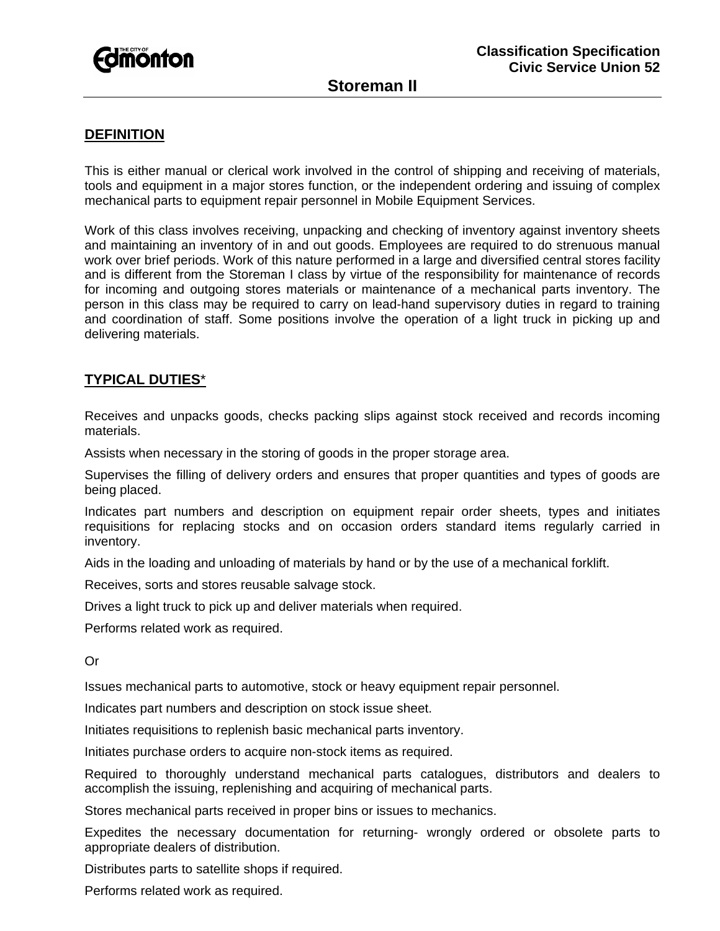

## **DEFINITION**

This is either manual or clerical work involved in the control of shipping and receiving of materials, tools and equipment in a major stores function, or the independent ordering and issuing of complex mechanical parts to equipment repair personnel in Mobile Equipment Services.

Work of this class involves receiving, unpacking and checking of inventory against inventory sheets and maintaining an inventory of in and out goods. Employees are required to do strenuous manual work over brief periods. Work of this nature performed in a large and diversified central stores facility and is different from the Storeman I class by virtue of the responsibility for maintenance of records for incoming and outgoing stores materials or maintenance of a mechanical parts inventory. The person in this class may be required to carry on lead-hand supervisory duties in regard to training and coordination of staff. Some positions involve the operation of a light truck in picking up and delivering materials.

## **TYPICAL DUTIES**\*

Receives and unpacks goods, checks packing slips against stock received and records incoming materials.

Assists when necessary in the storing of goods in the proper storage area.

Supervises the filling of delivery orders and ensures that proper quantities and types of goods are being placed.

Indicates part numbers and description on equipment repair order sheets, types and initiates requisitions for replacing stocks and on occasion orders standard items regularly carried in inventory.

Aids in the loading and unloading of materials by hand or by the use of a mechanical forklift.

Receives, sorts and stores reusable salvage stock.

Drives a light truck to pick up and deliver materials when required.

Performs related work as required.

Or

Issues mechanical parts to automotive, stock or heavy equipment repair personnel.

Indicates part numbers and description on stock issue sheet.

Initiates requisitions to replenish basic mechanical parts inventory.

Initiates purchase orders to acquire non-stock items as required.

Required to thoroughly understand mechanical parts catalogues, distributors and dealers to accomplish the issuing, replenishing and acquiring of mechanical parts.

Stores mechanical parts received in proper bins or issues to mechanics.

Expedites the necessary documentation for returning- wrongly ordered or obsolete parts to appropriate dealers of distribution.

Distributes parts to satellite shops if required.

Performs related work as required.